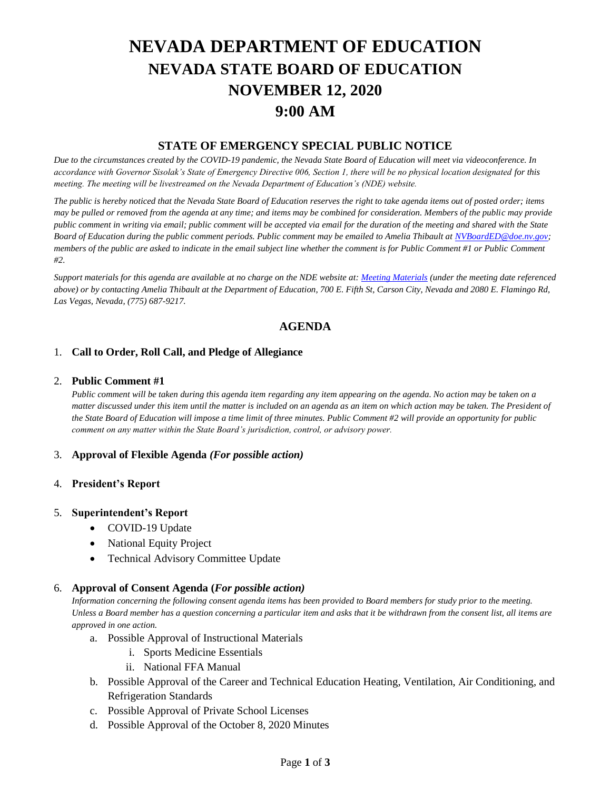# **NEVADA DEPARTMENT OF EDUCATION NEVADA STATE BOARD OF EDUCATION NOVEMBER 12, 2020 9:00 AM**

# **STATE OF EMERGENCY SPECIAL PUBLIC NOTICE**

*Due to the circumstances created by the COVID-19 pandemic, the Nevada State Board of Education will meet via videoconference. In accordance with Governor Sisolak's State of Emergency Directive 006, Section 1, there will be no physical location designated for this meeting. The meeting will be livestreamed on the Nevada Department of Education's (NDE) website.* 

*The public is hereby noticed that the Nevada State Board of Education reserves the right to take agenda items out of posted order; items may be pulled or removed from the agenda at any time; and items may be combined for consideration. Members of the public may provide public comment in writing via email; public comment will be accepted via email for the duration of the meeting and shared with the State Board of Education during the public comment periods. Public comment may be emailed to Amelia Thibault at [NVBoardED@doe.nv.gov;](mailto:NVBoardED@doe.nv.gov) members of the public are asked to indicate in the email subject line whether the comment is for Public Comment #1 or Public Comment #2.* 

*Support materials for this agenda are available at no charge on the NDE website at[: Meeting Materials](http://www.doe.nv.gov/Boards_Commissions_Councils/State_Board_of_Education/Meeting_Materials/) (under the meeting date referenced above) or by contacting Amelia Thibault at the Department of Education, 700 E. Fifth St, Carson City, Nevada and 2080 E. Flamingo Rd, Las Vegas, Nevada, (775) 687-9217.*

# **AGENDA**

## 1. **Call to Order, Roll Call, and Pledge of Allegiance**

#### 2. **Public Comment #1**

*Public comment will be taken during this agenda item regarding any item appearing on the agenda. No action may be taken on a matter discussed under this item until the matter is included on an agenda as an item on which action may be taken. The President of the State Board of Education will impose a time limit of three minutes. Public Comment #2 will provide an opportunity for public comment on any matter within the State Board's jurisdiction, control, or advisory power.*

## 3. **Approval of Flexible Agenda** *(For possible action)*

## 4. **President's Report**

#### 5. **Superintendent's Report**

- COVID-19 Update
- National Equity Project
- Technical Advisory Committee Update

## 6. **Approval of Consent Agenda (***For possible action)*

*Information concerning the following consent agenda items has been provided to Board members for study prior to the meeting. Unless a Board member has a question concerning a particular item and asks that it be withdrawn from the consent list, all items are approved in one action.* 

- a. Possible Approval of Instructional Materials
	- i. Sports Medicine Essentials
	- ii. National FFA Manual
- b. Possible Approval of the Career and Technical Education Heating, Ventilation, Air Conditioning, and Refrigeration Standards
- c. Possible Approval of Private School Licenses
- d. Possible Approval of the October 8, 2020 Minutes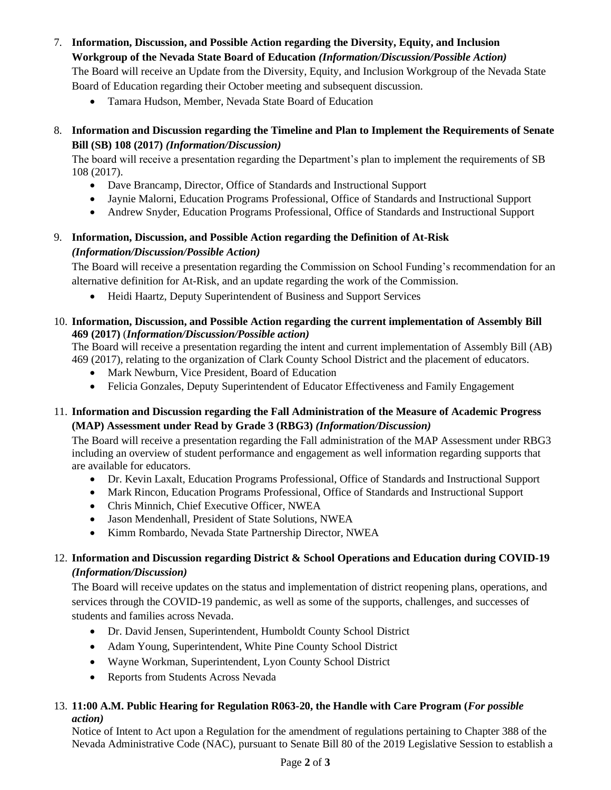7. **Information, Discussion, and Possible Action regarding the Diversity, Equity, and Inclusion** 

**Workgroup of the Nevada State Board of Education** *(Information/Discussion/Possible Action)*

The Board will receive an Update from the Diversity, Equity, and Inclusion Workgroup of the Nevada State Board of Education regarding their October meeting and subsequent discussion.

• Tamara Hudson, Member, Nevada State Board of Education

# 8. **Information and Discussion regarding the Timeline and Plan to Implement the Requirements of Senate Bill (SB) 108 (2017)** *(Information/Discussion)*

The board will receive a presentation regarding the Department's plan to implement the requirements of SB 108 (2017).

- Dave Brancamp, Director, Office of Standards and Instructional Support
- Jaynie Malorni, Education Programs Professional, Office of Standards and Instructional Support
- Andrew Snyder, Education Programs Professional, Office of Standards and Instructional Support

# 9. **Information, Discussion, and Possible Action regarding the Definition of At-Risk**  *(Information/Discussion/Possible Action)*

The Board will receive a presentation regarding the Commission on School Funding's recommendation for an alternative definition for At-Risk, and an update regarding the work of the Commission.

• Heidi Haartz, Deputy Superintendent of Business and Support Services

# 10. **Information, Discussion, and Possible Action regarding the current implementation of Assembly Bill 469 (2017)** (*Information/Discussion/Possible action)*

The Board will receive a presentation regarding the intent and current implementation of Assembly Bill (AB) 469 (2017), relating to the organization of Clark County School District and the placement of educators.

- Mark Newburn, Vice President, Board of Education
- Felicia Gonzales, Deputy Superintendent of Educator Effectiveness and Family Engagement

# 11. **Information and Discussion regarding the Fall Administration of the Measure of Academic Progress (MAP) Assessment under Read by Grade 3 (RBG3)** *(Information/Discussion)*

The Board will receive a presentation regarding the Fall administration of the MAP Assessment under RBG3 including an overview of student performance and engagement as well information regarding supports that are available for educators.

- Dr. Kevin Laxalt, Education Programs Professional, Office of Standards and Instructional Support
- Mark Rincon, Education Programs Professional, Office of Standards and Instructional Support
- Chris Minnich, Chief Executive Officer, NWEA
- Jason Mendenhall, President of State Solutions, NWEA
- Kimm Rombardo, Nevada State Partnership Director, NWEA

# 12. **Information and Discussion regarding District & School Operations and Education during COVID-19** *(Information/Discussion)*

The Board will receive updates on the status and implementation of district reopening plans, operations, and services through the COVID-19 pandemic, as well as some of the supports, challenges, and successes of students and families across Nevada.

- Dr. David Jensen, Superintendent, Humboldt County School District
- Adam Young, Superintendent, White Pine County School District
- Wayne Workman, Superintendent, Lyon County School District
- Reports from Students Across Nevada

# 13. **11:00 A.M. Public Hearing for Regulation R063-20, the Handle with Care Program (***For possible action)*

Notice of Intent to Act upon a Regulation for the amendment of regulations pertaining to Chapter 388 of the Nevada Administrative Code (NAC), pursuant to Senate Bill 80 of the 2019 Legislative Session to establish a